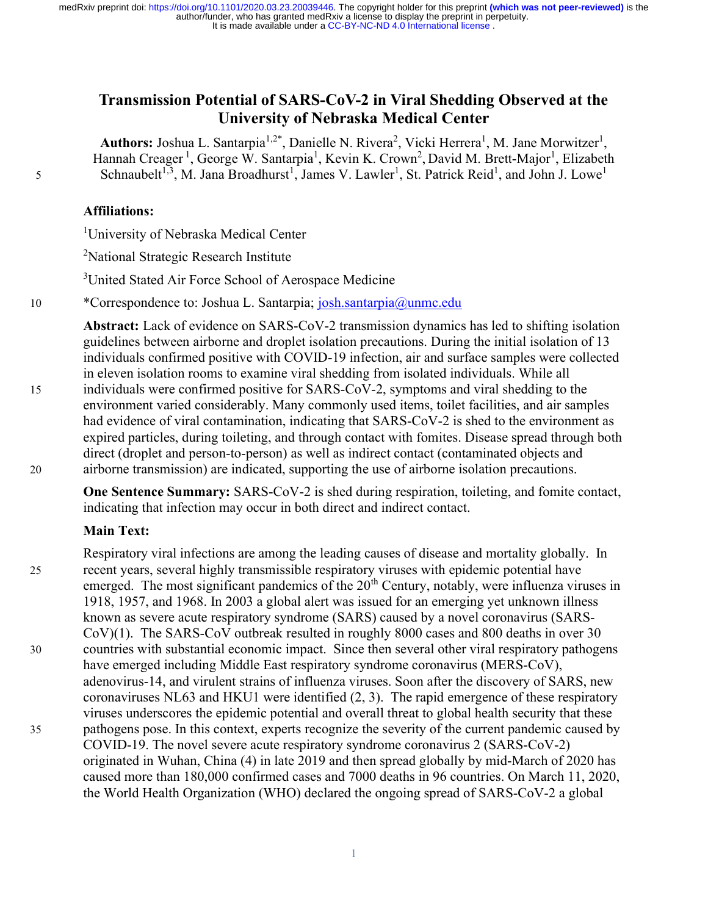# Transmission Potential of SARS-CoV-2 in Viral Shedding Observed at the University of Nebraska Medical Center

**Authors:** Joshua L. Santarpia<sup>1,2\*</sup>, Danielle N. Rivera<sup>2</sup>, Vicki Herrera<sup>1</sup>, M. Jane Morwitzer<sup>1</sup>, Hannah Creager<sup>1</sup>, George W. Santarpia<sup>1</sup>, Kevin K. Crown<sup>2</sup>, David M. Brett-Major<sup>1</sup>, Elizabeth 5 Schnaubelt<sup>1,3</sup>, M. Jana Broadhurst<sup>1</sup>, James V. Lawler<sup>1</sup>, St. Patrick Reid<sup>1</sup>, and John J. Lowe<sup>1</sup>

#### Affiliations:

<sup>1</sup>University of Nebraska Medical Center

<sup>2</sup>National Strategic Research Institute

<sup>3</sup>United Stated Air Force School of Aerospace Medicine

10 \* Correspondence to: Joshua L. Santarpia; josh.santarpia@unmc.edu

Abstract: Lack of evidence on SARS-CoV-2 transmission dynamics has led to shifting isolation guidelines between airborne and droplet isolation precautions. During the initial isolation of 13 individuals confirmed positive with COVID-19 infection, air and surface samples were collected in eleven isolation rooms to examine viral shedding from isolated individuals. While all 15 individuals were confirmed positive for SARS-CoV-2, symptoms and viral shedding to the environment varied considerably. Many commonly used items, toilet facilities, and air samples had evidence of viral contamination, indicating that SARS-CoV-2 is shed to the environment as expired particles, during toileting, and through contact with fomites. Disease spread through both direct (droplet and person-to-person) as well as indirect contact (contaminated objects and

20 airborne transmission) are indicated, supporting the use of airborne isolation precautions.

One Sentence Summary: SARS-CoV-2 is shed during respiration, toileting, and fomite contact, indicating that infection may occur in both direct and indirect contact.

# Main Text:

Respiratory viral infections are among the leading causes of disease and mortality globally. In 25 recent years, several highly transmissible respiratory viruses with epidemic potential have emerged. The most significant pandemics of the  $20<sup>th</sup>$  Century, notably, were influenza viruses in 1918, 1957, and 1968. In 2003 a global alert was issued for an emerging yet unknown illness known as severe acute respiratory syndrome (SARS) caused by a novel coronavirus (SARS-CoV)(1). The SARS-CoV outbreak resulted in roughly 8000 cases and 800 deaths in over 30 30 countries with substantial economic impact. Since then several other viral respiratory pathogens have emerged including Middle East respiratory syndrome coronavirus (MERS-CoV), adenovirus-14, and virulent strains of influenza viruses. Soon after the discovery of SARS, new coronaviruses NL63 and HKU1 were identified (2, 3). The rapid emergence of these respiratory viruses underscores the epidemic potential and overall threat to global health security that these 35 pathogens pose. In this context, experts recognize the severity of the current pandemic caused by COVID-19. The novel severe acute respiratory syndrome coronavirus 2 (SARS-CoV-2) originated in Wuhan, China (4) in late 2019 and then spread globally by mid-March of 2020 has caused more than 180,000 confirmed cases and 7000 deaths in 96 countries. On March 11, 2020, the World Health Organization (WHO) declared the ongoing spread of SARS-CoV-2 a global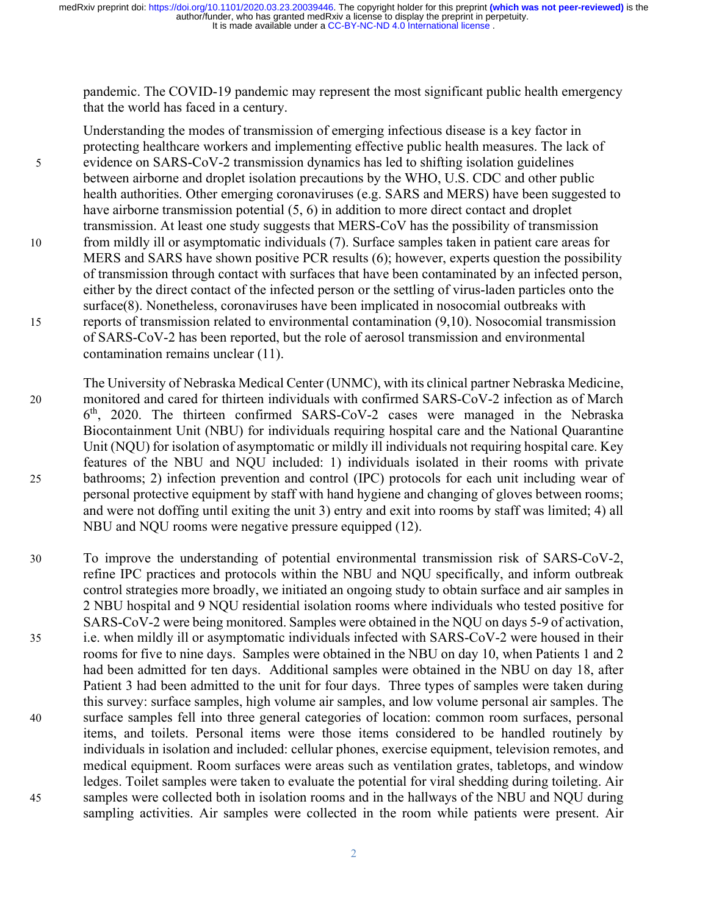pandemic. The COVID-19 pandemic may represent the most significant public health emergency that the world has faced in a century.

Understanding the modes of transmission of emerging infectious disease is a key factor in protecting healthcare workers and implementing effective public health measures. The lack of 5 evidence on SARS-CoV-2 transmission dynamics has led to shifting isolation guidelines between airborne and droplet isolation precautions by the WHO, U.S. CDC and other public health authorities. Other emerging coronaviruses (e.g. SARS and MERS) have been suggested to have airborne transmission potential  $(5, 6)$  in addition to more direct contact and droplet transmission. At least one study suggests that MERS-CoV has the possibility of transmission 10 from mildly ill or asymptomatic individuals (7). Surface samples taken in patient care areas for MERS and SARS have shown positive PCR results (6); however, experts question the possibility of transmission through contact with surfaces that have been contaminated by an infected person, either by the direct contact of the infected person or the settling of virus-laden particles onto the surface(8). Nonetheless, coronaviruses have been implicated in nosocomial outbreaks with 15 reports of transmission related to environmental contamination (9,10). Nosocomial transmission of SARS-CoV-2 has been reported, but the role of aerosol transmission and environmental contamination remains unclear (11).

The University of Nebraska Medical Center (UNMC), with its clinical partner Nebraska Medicine, 20 monitored and cared for thirteen individuals with confirmed SARS-CoV-2 infection as of March 6 th, 2020. The thirteen confirmed SARS-CoV-2 cases were managed in the Nebraska Biocontainment Unit (NBU) for individuals requiring hospital care and the National Quarantine Unit (NQU) for isolation of asymptomatic or mildly ill individuals not requiring hospital care. Key features of the NBU and NQU included: 1) individuals isolated in their rooms with private 25 bathrooms; 2) infection prevention and control (IPC) protocols for each unit including wear of personal protective equipment by staff with hand hygiene and changing of gloves between rooms; and were not doffing until exiting the unit 3) entry and exit into rooms by staff was limited; 4) all NBU and NQU rooms were negative pressure equipped (12).

30 To improve the understanding of potential environmental transmission risk of SARS-CoV-2, refine IPC practices and protocols within the NBU and NQU specifically, and inform outbreak control strategies more broadly, we initiated an ongoing study to obtain surface and air samples in 2 NBU hospital and 9 NQU residential isolation rooms where individuals who tested positive for SARS-CoV-2 were being monitored. Samples were obtained in the NQU on days 5-9 of activation, 35 i.e. when mildly ill or asymptomatic individuals infected with SARS-CoV-2 were housed in their rooms for five to nine days. Samples were obtained in the NBU on day 10, when Patients 1 and 2 had been admitted for ten days. Additional samples were obtained in the NBU on day 18, after Patient 3 had been admitted to the unit for four days. Three types of samples were taken during this survey: surface samples, high volume air samples, and low volume personal air samples. The 40 surface samples fell into three general categories of location: common room surfaces, personal items, and toilets. Personal items were those items considered to be handled routinely by individuals in isolation and included: cellular phones, exercise equipment, television remotes, and medical equipment. Room surfaces were areas such as ventilation grates, tabletops, and window ledges. Toilet samples were taken to evaluate the potential for viral shedding during toileting. Air 45 samples were collected both in isolation rooms and in the hallways of the NBU and NQU during sampling activities. Air samples were collected in the room while patients were present. Air

2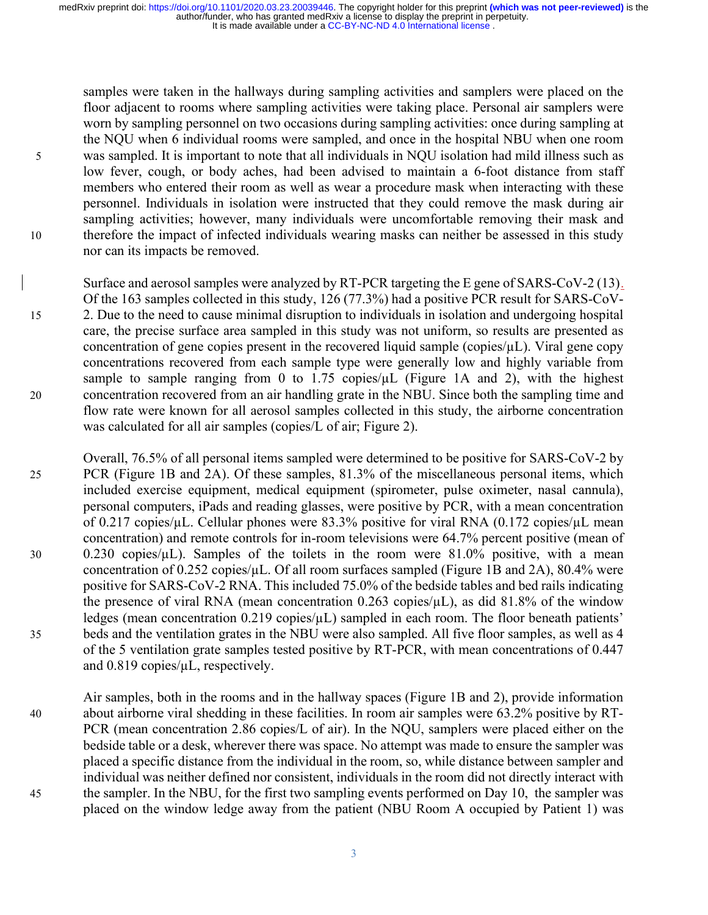samples were taken in the hallways during sampling activities and samplers were placed on the floor adjacent to rooms where sampling activities were taking place. Personal air samplers were worn by sampling personnel on two occasions during sampling activities: once during sampling at the NQU when 6 individual rooms were sampled, and once in the hospital NBU when one room 5 was sampled. It is important to note that all individuals in NQU isolation had mild illness such as low fever, cough, or body aches, had been advised to maintain a 6-foot distance from staff members who entered their room as well as wear a procedure mask when interacting with these personnel. Individuals in isolation were instructed that they could remove the mask during air sampling activities; however, many individuals were uncomfortable removing their mask and 10 therefore the impact of infected individuals wearing masks can neither be assessed in this study nor can its impacts be removed.

Surface and aerosol samples were analyzed by RT-PCR targeting the E gene of SARS-CoV-2 (13). Of the 163 samples collected in this study, 126 (77.3%) had a positive PCR result for SARS-CoV-15 2. Due to the need to cause minimal disruption to individuals in isolation and undergoing hospital care, the precise surface area sampled in this study was not uniform, so results are presented as concentration of gene copies present in the recovered liquid sample (copies/µL). Viral gene copy concentrations recovered from each sample type were generally low and highly variable from sample to sample ranging from 0 to 1.75 copies/ $\mu$ L (Figure 1A and 2), with the highest 20 concentration recovered from an air handling grate in the NBU. Since both the sampling time and flow rate were known for all aerosol samples collected in this study, the airborne concentration was calculated for all air samples (copies/L of air; Figure 2).

Overall, 76.5% of all personal items sampled were determined to be positive for SARS-CoV-2 by 25 PCR (Figure 1B and 2A). Of these samples, 81.3% of the miscellaneous personal items, which included exercise equipment, medical equipment (spirometer, pulse oximeter, nasal cannula), personal computers, iPads and reading glasses, were positive by PCR, with a mean concentration of 0.217 copies/µL. Cellular phones were 83.3% positive for viral RNA (0.172 copies/µL mean concentration) and remote controls for in-room televisions were 64.7% percent positive (mean of 30 0.230 copies/µL). Samples of the toilets in the room were 81.0% positive, with a mean concentration of 0.252 copies/ $\mu$ L. Of all room surfaces sampled (Figure 1B and 2A), 80.4% were positive for SARS-CoV-2 RNA. This included 75.0% of the bedside tables and bed rails indicating the presence of viral RNA (mean concentration 0.263 copies/ $\mu$ L), as did 81.8% of the window ledges (mean concentration  $0.219$  copies/ $\mu$ L) sampled in each room. The floor beneath patients' 35 beds and the ventilation grates in the NBU were also sampled. All five floor samples, as well as 4 of the 5 ventilation grate samples tested positive by RT-PCR, with mean concentrations of 0.447 and 0.819 copies/µL, respectively.

Air samples, both in the rooms and in the hallway spaces (Figure 1B and 2), provide information 40 about airborne viral shedding in these facilities. In room air samples were 63.2% positive by RT-PCR (mean concentration 2.86 copies/L of air). In the NQU, samplers were placed either on the bedside table or a desk, wherever there was space. No attempt was made to ensure the sampler was placed a specific distance from the individual in the room, so, while distance between sampler and individual was neither defined nor consistent, individuals in the room did not directly interact with 45 the sampler. In the NBU, for the first two sampling events performed on Day 10, the sampler was placed on the window ledge away from the patient (NBU Room A occupied by Patient 1) was

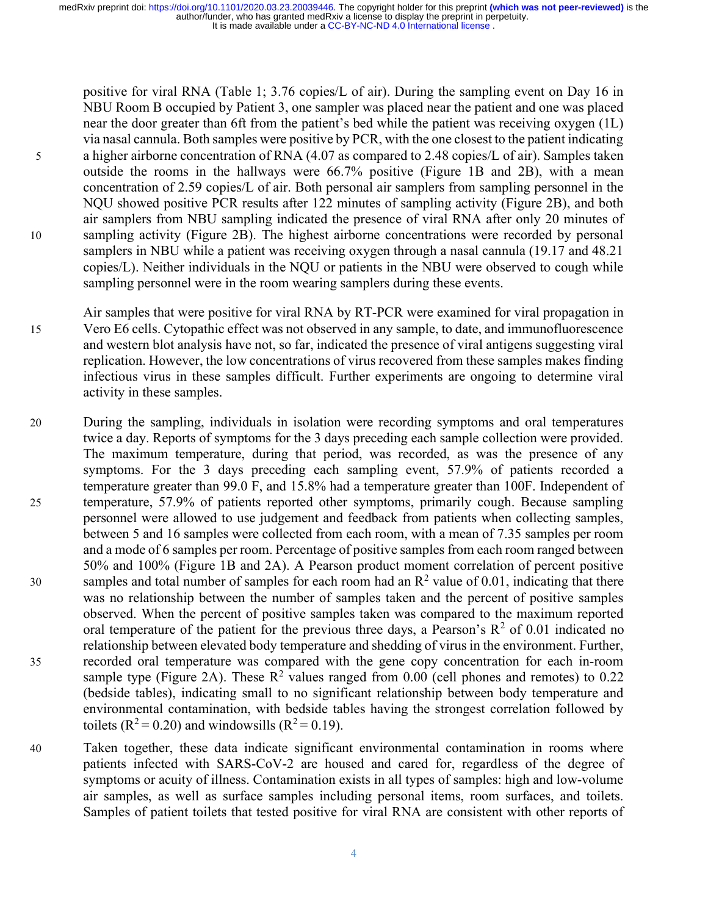positive for viral RNA (Table 1; 3.76 copies/L of air). During the sampling event on Day 16 in NBU Room B occupied by Patient 3, one sampler was placed near the patient and one was placed near the door greater than 6ft from the patient's bed while the patient was receiving oxygen (1L) via nasal cannula. Both samples were positive by PCR, with the one closest to the patient indicating 5 a higher airborne concentration of RNA (4.07 as compared to 2.48 copies/L of air). Samples taken outside the rooms in the hallways were 66.7% positive (Figure 1B and 2B), with a mean concentration of 2.59 copies/L of air. Both personal air samplers from sampling personnel in the NQU showed positive PCR results after 122 minutes of sampling activity (Figure 2B), and both air samplers from NBU sampling indicated the presence of viral RNA after only 20 minutes of 10 sampling activity (Figure 2B). The highest airborne concentrations were recorded by personal samplers in NBU while a patient was receiving oxygen through a nasal cannula (19.17 and 48.21) copies/L). Neither individuals in the NQU or patients in the NBU were observed to cough while sampling personnel were in the room wearing samplers during these events.

Air samples that were positive for viral RNA by RT-PCR were examined for viral propagation in 15 Vero E6 cells. Cytopathic effect was not observed in any sample, to date, and immunofluorescence and western blot analysis have not, so far, indicated the presence of viral antigens suggesting viral replication. However, the low concentrations of virus recovered from these samples makes finding infectious virus in these samples difficult. Further experiments are ongoing to determine viral activity in these samples.

- 20 During the sampling, individuals in isolation were recording symptoms and oral temperatures twice a day. Reports of symptoms for the 3 days preceding each sample collection were provided. The maximum temperature, during that period, was recorded, as was the presence of any symptoms. For the 3 days preceding each sampling event, 57.9% of patients recorded a temperature greater than 99.0 F, and 15.8% had a temperature greater than 100F. Independent of 25 temperature, 57.9% of patients reported other symptoms, primarily cough. Because sampling personnel were allowed to use judgement and feedback from patients when collecting samples, between 5 and 16 samples were collected from each room, with a mean of 7.35 samples per room and a mode of 6 samples per room. Percentage of positive samples from each room ranged between 50% and 100% (Figure 1B and 2A). A Pearson product moment correlation of percent positive samples and total number of samples for each room had an  $\mathbb{R}^2$  value of 0.01, indicating that there was no relationship between the number of samples taken and the percent of positive samples observed. When the percent of positive samples taken was compared to the maximum reported oral temperature of the patient for the previous three days, a Pearson's  $R^2$  of 0.01 indicated no relationship between elevated body temperature and shedding of virus in the environment. Further, 35 recorded oral temperature was compared with the gene copy concentration for each in-room sample type (Figure 2A). These  $R^2$  values ranged from 0.00 (cell phones and remotes) to 0.22 (bedside tables), indicating small to no significant relationship between body temperature and environmental contamination, with bedside tables having the strongest correlation followed by toilets ( $R^2 = 0.20$ ) and windowsills ( $R^2 = 0.19$ ).
- 40 Taken together, these data indicate significant environmental contamination in rooms where patients infected with SARS-CoV-2 are housed and cared for, regardless of the degree of symptoms or acuity of illness. Contamination exists in all types of samples: high and low-volume air samples, as well as surface samples including personal items, room surfaces, and toilets. Samples of patient toilets that tested positive for viral RNA are consistent with other reports of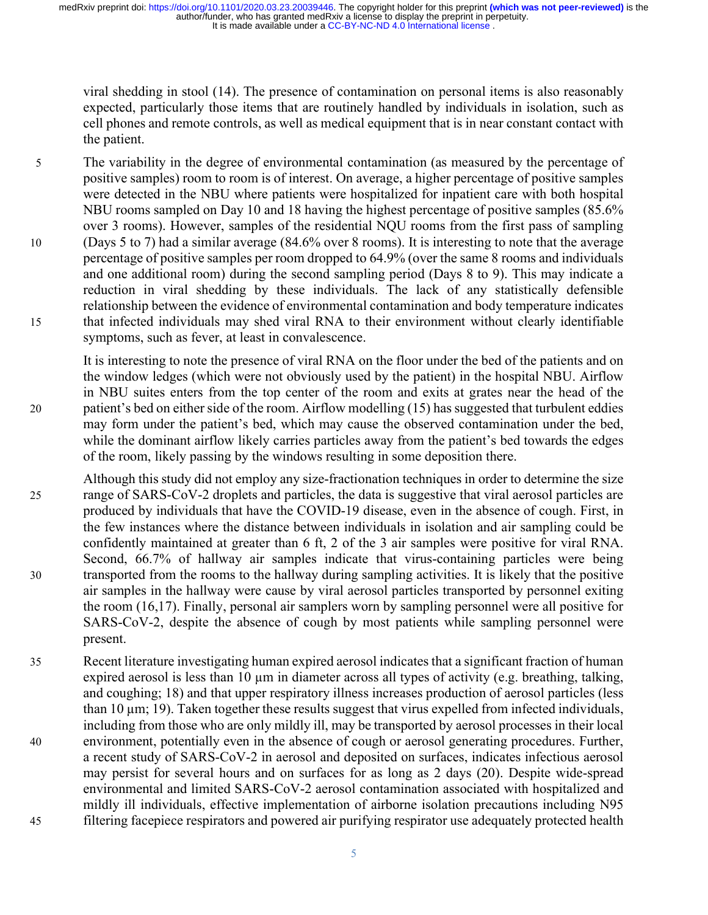viral shedding in stool (14). The presence of contamination on personal items is also reasonably expected, particularly those items that are routinely handled by individuals in isolation, such as cell phones and remote controls, as well as medical equipment that is in near constant contact with the patient.

5 The variability in the degree of environmental contamination (as measured by the percentage of positive samples) room to room is of interest. On average, a higher percentage of positive samples were detected in the NBU where patients were hospitalized for inpatient care with both hospital NBU rooms sampled on Day 10 and 18 having the highest percentage of positive samples (85.6% over 3 rooms). However, samples of the residential NQU rooms from the first pass of sampling 10 (Days 5 to 7) had a similar average (84.6% over 8 rooms). It is interesting to note that the average percentage of positive samples per room dropped to 64.9% (over the same 8 rooms and individuals and one additional room) during the second sampling period (Days 8 to 9). This may indicate a reduction in viral shedding by these individuals. The lack of any statistically defensible relationship between the evidence of environmental contamination and body temperature indicates 15 that infected individuals may shed viral RNA to their environment without clearly identifiable symptoms, such as fever, at least in convalescence.

It is interesting to note the presence of viral RNA on the floor under the bed of the patients and on the window ledges (which were not obviously used by the patient) in the hospital NBU. Airflow in NBU suites enters from the top center of the room and exits at grates near the head of the 20 patient's bed on either side of the room. Airflow modelling (15) has suggested that turbulent eddies may form under the patient's bed, which may cause the observed contamination under the bed, while the dominant airflow likely carries particles away from the patient's bed towards the edges of the room, likely passing by the windows resulting in some deposition there.

- Although this study did not employ any size-fractionation techniques in order to determine the size 25 range of SARS-CoV-2 droplets and particles, the data is suggestive that viral aerosol particles are produced by individuals that have the COVID-19 disease, even in the absence of cough. First, in the few instances where the distance between individuals in isolation and air sampling could be confidently maintained at greater than 6 ft, 2 of the 3 air samples were positive for viral RNA. Second, 66.7% of hallway air samples indicate that virus-containing particles were being 30 transported from the rooms to the hallway during sampling activities. It is likely that the positive air samples in the hallway were cause by viral aerosol particles transported by personnel exiting the room (16,17). Finally, personal air samplers worn by sampling personnel were all positive for SARS-CoV-2, despite the absence of cough by most patients while sampling personnel were present.
- 35 Recent literature investigating human expired aerosol indicates that a significant fraction of human expired aerosol is less than 10 µm in diameter across all types of activity (e.g. breathing, talking, and coughing; 18) and that upper respiratory illness increases production of aerosol particles (less than 10 µm; 19). Taken together these results suggest that virus expelled from infected individuals, including from those who are only mildly ill, may be transported by aerosol processes in their local 40 environment, potentially even in the absence of cough or aerosol generating procedures. Further, a recent study of SARS-CoV-2 in aerosol and deposited on surfaces, indicates infectious aerosol may persist for several hours and on surfaces for as long as 2 days (20). Despite wide-spread environmental and limited SARS-CoV-2 aerosol contamination associated with hospitalized and mildly ill individuals, effective implementation of airborne isolation precautions including N95 45 filtering facepiece respirators and powered air purifying respirator use adequately protected health

5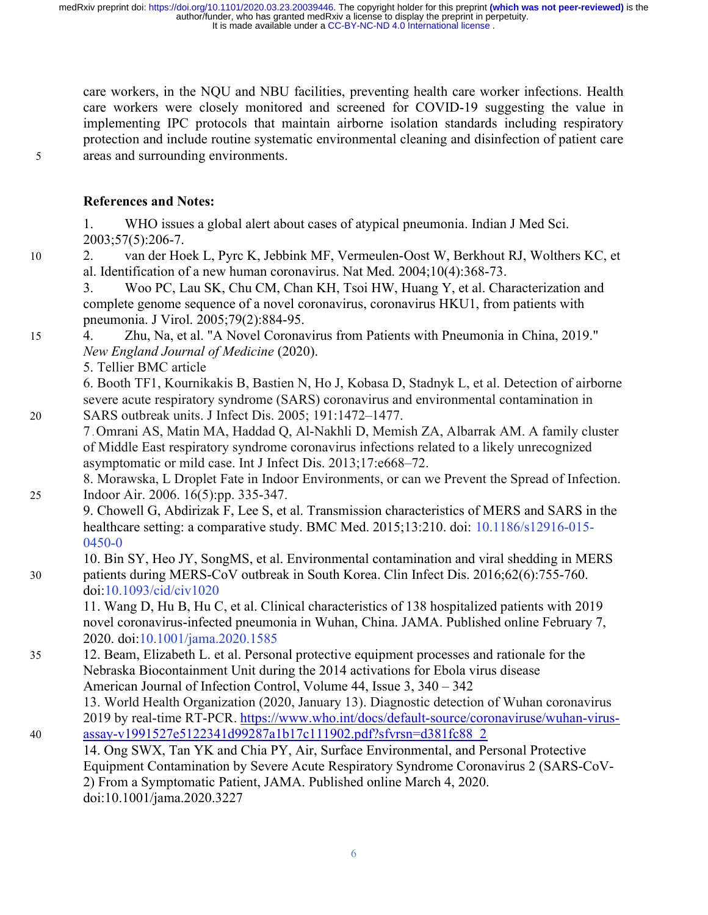care workers, in the NQU and NBU facilities, preventing health care worker infections. Health care workers were closely monitored and screened for COVID-19 suggesting the value in implementing IPC protocols that maintain airborne isolation standards including respiratory protection and include routine systematic environmental cleaning and disinfection of patient care 5 areas and surrounding environments.

# References and Notes:

1. WHO issues a global alert about cases of atypical pneumonia. Indian J Med Sci. 2003;57(5):206-7.

10 2. van der Hoek L, Pyrc K, Jebbink MF, Vermeulen-Oost W, Berkhout RJ, Wolthers KC, et al. Identification of a new human coronavirus. Nat Med. 2004;10(4):368-73.

3. Woo PC, Lau SK, Chu CM, Chan KH, Tsoi HW, Huang Y, et al. Characterization and complete genome sequence of a novel coronavirus, coronavirus HKU1, from patients with pneumonia. J Virol. 2005;79(2):884-95.

- 15 4. Zhu, Na, et al. "A Novel Coronavirus from Patients with Pneumonia in China, 2019." New England Journal of Medicine (2020).
	- 5. Tellier BMC article

6. Booth TF1, Kournikakis B, Bastien N, Ho J, Kobasa D, Stadnyk L, et al. Detection of airborne severe acute respiratory syndrome (SARS) coronavirus and environmental contamination in 20 SARS outbreak units. J Infect Dis. 2005; 191:1472–1477.

7 . Omrani AS, Matin MA, Haddad Q, Al-Nakhli D, Memish ZA, Albarrak AM. A family cluster of Middle East respiratory syndrome coronavirus infections related to a likely unrecognized asymptomatic or mild case. Int J Infect Dis. 2013;17:e668–72.

8. Morawska, L Droplet Fate in Indoor Environments, or can we Prevent the Spread of Infection. 25 Indoor Air. 2006. 16(5):pp. 335-347.

9. Chowell G, Abdirizak F, Lee S, et al. Transmission characteristics of MERS and SARS in the healthcare setting: a comparative study. BMC Med. 2015;13:210. doi: 10.1186/s12916-015- 0450-0

10. Bin SY, Heo JY, SongMS, et al. Environmental contamination and viral shedding in MERS 30 patients during MERS-CoV outbreak in South Korea. Clin Infect Dis. 2016;62(6):755-760. doi:10.1093/cid/civ1020

11. Wang D, Hu B, Hu C, et al. Clinical characteristics of 138 hospitalized patients with 2019 novel coronavirus-infected pneumonia in Wuhan, China. JAMA. Published online February 7, 2020. doi:10.1001/jama.2020.1585

- 35 12. Beam, Elizabeth L. et al. Personal protective equipment processes and rationale for the Nebraska Biocontainment Unit during the 2014 activations for Ebola virus disease American Journal of Infection Control, Volume 44, Issue 3, 340 – 342
- 13. World Health Organization (2020, January 13). Diagnostic detection of Wuhan coronavirus 2019 by real-time RT-PCR. https://www.who.int/docs/default-source/coronaviruse/wuhan-virus-40 assay-v1991527e5122341d99287a1b17c111902.pdf?sfvrsn=d381fc88\_2
	- 14. Ong SWX, Tan YK and Chia PY, Air, Surface Environmental, and Personal Protective Equipment Contamination by Severe Acute Respiratory Syndrome Coronavirus 2 (SARS-CoV-2) From a Symptomatic Patient, JAMA. Published online March 4, 2020. doi:10.1001/jama.2020.3227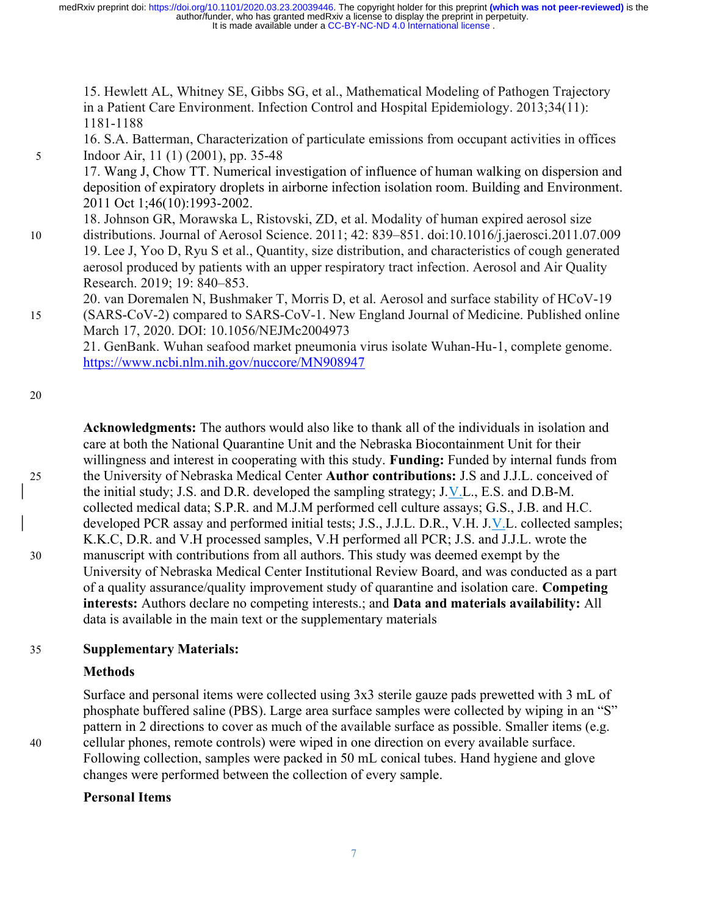15. Hewlett AL, Whitney SE, Gibbs SG, et al., Mathematical Modeling of Pathogen Trajectory in a Patient Care Environment. Infection Control and Hospital Epidemiology. 2013;34(11): 1181-1188

16. S.A. Batterman, Characterization of particulate emissions from occupant activities in offices 5 Indoor Air, 11 (1) (2001), pp. 35-48

17. Wang J, Chow TT. Numerical investigation of influence of human walking on dispersion and deposition of expiratory droplets in airborne infection isolation room. Building and Environment. 2011 Oct 1;46(10):1993-2002.

- 18. Johnson GR, Morawska L, Ristovski, ZD, et al. Modality of human expired aerosol size 10 distributions. Journal of Aerosol Science. 2011; 42: 839–851. doi:10.1016/j.jaerosci.2011.07.009 19. Lee J, Yoo D, Ryu S et al., Quantity, size distribution, and characteristics of cough generated aerosol produced by patients with an upper respiratory tract infection. Aerosol and Air Quality Research. 2019; 19: 840–853.
- 20. van Doremalen N, Bushmaker T, Morris D, et al. Aerosol and surface stability of HCoV-19 15 (SARS-CoV-2) compared to SARS-CoV-1. New England Journal of Medicine. Published online March 17, 2020. DOI: 10.1056/NEJMc2004973

21. GenBank. Wuhan seafood market pneumonia virus isolate Wuhan-Hu-1, complete genome. https://www.ncbi.nlm.nih.gov/nuccore/MN908947

20

Acknowledgments: The authors would also like to thank all of the individuals in isolation and care at both the National Quarantine Unit and the Nebraska Biocontainment Unit for their willingness and interest in cooperating with this study. Funding: Funded by internal funds from 25 the University of Nebraska Medical Center Author contributions: J.S and J.J.L. conceived of the initial study; J.S. and D.R. developed the sampling strategy; J.V.L., E.S. and D.B-M. collected medical data; S.P.R. and M.J.M performed cell culture assays; G.S., J.B. and H.C. developed PCR assay and performed initial tests; J.S., J.J.L. D.R., V.H. J.V.L. collected samples; K.K.C, D.R. and V.H processed samples, V.H performed all PCR; J.S. and J.J.L. wrote the 30 manuscript with contributions from all authors. This study was deemed exempt by the University of Nebraska Medical Center Institutional Review Board, and was conducted as a part of a quality assurance/quality improvement study of quarantine and isolation care. Competing interests: Authors declare no competing interests.; and Data and materials availability: All data is available in the main text or the supplementary materials

# 35 Supplementary Materials:

#### Methods

Surface and personal items were collected using 3x3 sterile gauze pads prewetted with 3 mL of phosphate buffered saline (PBS). Large area surface samples were collected by wiping in an "S" pattern in 2 directions to cover as much of the available surface as possible. Smaller items (e.g. 40 cellular phones, remote controls) were wiped in one direction on every available surface. Following collection, samples were packed in 50 mL conical tubes. Hand hygiene and glove changes were performed between the collection of every sample.

#### Personal Items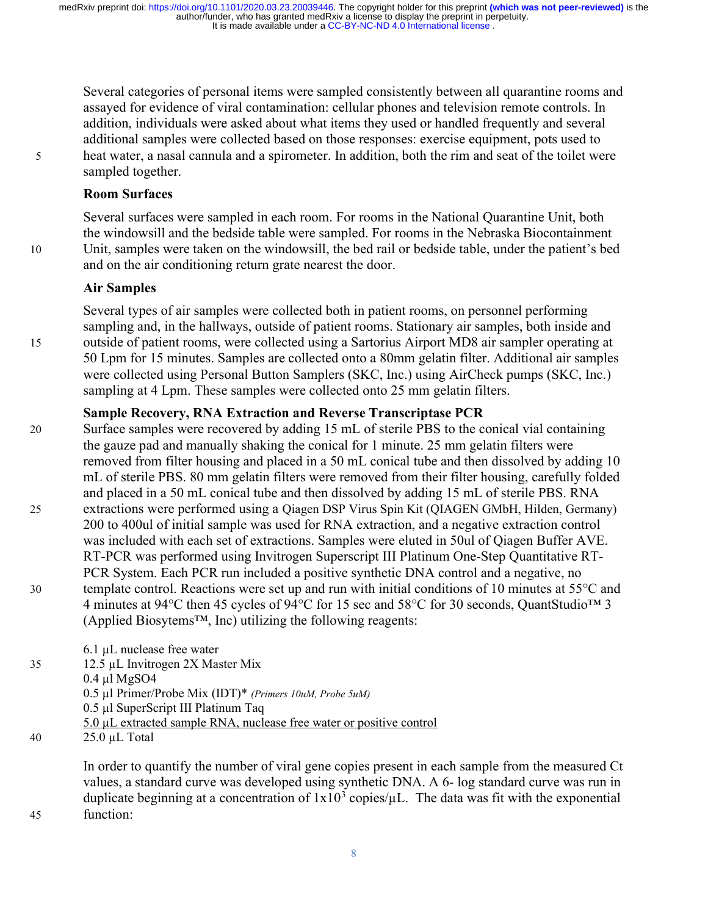Several categories of personal items were sampled consistently between all quarantine rooms and assayed for evidence of viral contamination: cellular phones and television remote controls. In addition, individuals were asked about what items they used or handled frequently and several additional samples were collected based on those responses: exercise equipment, pots used to 5 heat water, a nasal cannula and a spirometer. In addition, both the rim and seat of the toilet were sampled together.

#### Room Surfaces

Several surfaces were sampled in each room. For rooms in the National Quarantine Unit, both the windowsill and the bedside table were sampled. For rooms in the Nebraska Biocontainment 10 Unit, samples were taken on the windowsill, the bed rail or bedside table, under the patient's bed and on the air conditioning return grate nearest the door.

#### Air Samples

Several types of air samples were collected both in patient rooms, on personnel performing sampling and, in the hallways, outside of patient rooms. Stationary air samples, both inside and 15 outside of patient rooms, were collected using a Sartorius Airport MD8 air sampler operating at 50 Lpm for 15 minutes. Samples are collected onto a 80mm gelatin filter. Additional air samples were collected using Personal Button Samplers (SKC, Inc.) using AirCheck pumps (SKC, Inc.) sampling at 4 Lpm. These samples were collected onto 25 mm gelatin filters.

### Sample Recovery, RNA Extraction and Reverse Transcriptase PCR

20 Surface samples were recovered by adding 15 mL of sterile PBS to the conical vial containing the gauze pad and manually shaking the conical for 1 minute. 25 mm gelatin filters were removed from filter housing and placed in a 50 mL conical tube and then dissolved by adding 10 mL of sterile PBS. 80 mm gelatin filters were removed from their filter housing, carefully folded and placed in a 50 mL conical tube and then dissolved by adding 15 mL of sterile PBS. RNA 25 extractions were performed using a Qiagen DSP Virus Spin Kit (QIAGEN GMbH, Hilden, Germany) 200 to 400ul of initial sample was used for RNA extraction, and a negative extraction control was included with each set of extractions. Samples were eluted in 50ul of Qiagen Buffer AVE. RT-PCR was performed using Invitrogen Superscript III Platinum One-Step Quantitative RT-PCR System. Each PCR run included a positive synthetic DNA control and a negative, no 30 template control. Reactions were set up and run with initial conditions of 10 minutes at 55°C and 4 minutes at 94°C then 45 cycles of 94°C for 15 sec and 58°C for 30 seconds, QuantStudio™ 3 (Applied Biosytems™, Inc) utilizing the following reagents:

|    | $6.1 \mu L$ nuclease free water                                      |
|----|----------------------------------------------------------------------|
| 35 | 12.5 µL Invitrogen 2X Master Mix                                     |
|    | $0.4 \mu$ l MgSO4                                                    |
|    | 0.5 µl Primer/Probe Mix (IDT)* (Primers 10uM, Probe 5uM)             |
|    | $0.5$ µl SuperScript III Platinum Taq                                |
|    | 5.0 µL extracted sample RNA, nuclease free water or positive control |
| 40 | $25.0 \mu L$ Total                                                   |

In order to quantify the number of viral gene copies present in each sample from the measured Ct values, a standard curve was developed using synthetic DNA. A 6- log standard curve was run in duplicate beginning at a concentration of  $1x10^3$  copies/ $\mu$ L. The data was fit with the exponential 45 function: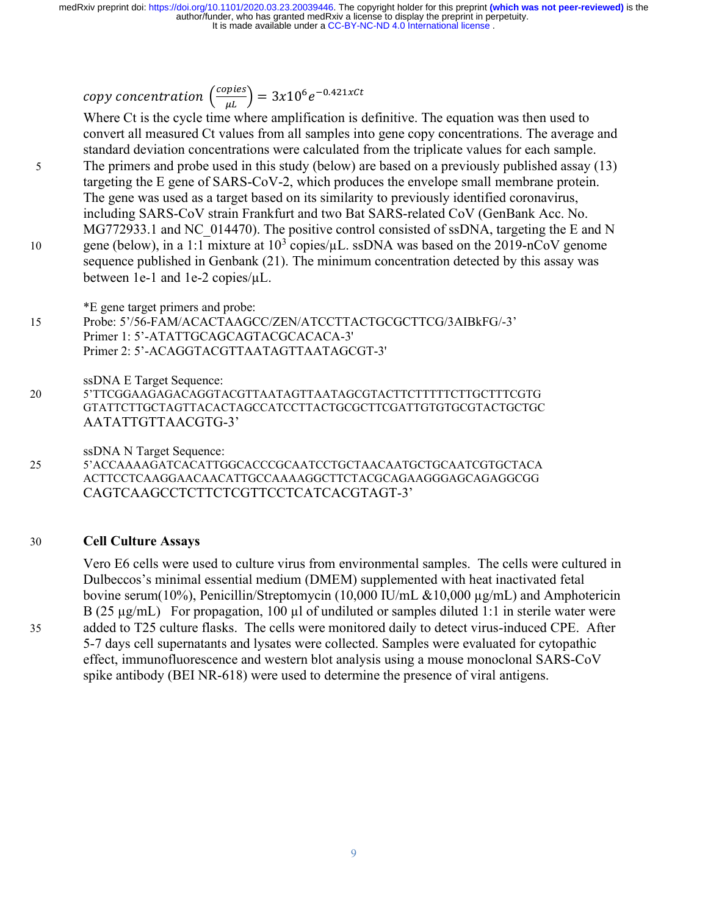copy concentration  $\left(\frac{copies}{\mu L}\right) = 3x10^6e^{-0.421xCt}$ 

Where Ct is the cycle time where amplification is definitive. The equation was then used to convert all measured Ct values from all samples into gene copy concentrations. The average and standard deviation concentrations were calculated from the triplicate values for each sample. 5 The primers and probe used in this study (below) are based on a previously published assay (13) targeting the E gene of SARS-CoV-2, which produces the envelope small membrane protein. The gene was used as a target based on its similarity to previously identified coronavirus, including SARS-CoV strain Frankfurt and two Bat SARS-related CoV (GenBank Acc. No. MG772933.1 and NC\_014470). The positive control consisted of ssDNA, targeting the E and N 10 gene (below), in a 1:1 mixture at  $10^3$  copies/ $\mu$ L. ssDNA was based on the 2019-nCoV genome sequence published in Genbank (21). The minimum concentration detected by this assay was between 1e-1 and 1e-2 copies/µL.

\*E gene target primers and probe:

15 Probe: 5'/56-FAM/ACACTAAGCC/ZEN/ATCCTTACTGCGCTTCG/3AIBkFG/-3' Primer 1: 5'-ATATTGCAGCAGTACGCACACA-3' Primer 2: 5'-ACAGGTACGTTAATAGTTAATAGCGT-3'

ssDNA E Target Sequence: 20 5'TTCGGAAGAGACAGGTACGTTAATAGTTAATAGCGTACTTCTTTTTCTTGCTTTCGTG GTATTCTTGCTAGTTACACTAGCCATCCTTACTGCGCTTCGATTGTGTGCGTACTGCTGC AATATTGTTAACGTG-3'

ssDNA N Target Sequence:

25 5'ACCAAAAGATCACATTGGCACCCGCAATCCTGCTAACAATGCTGCAATCGTGCTACA ACTTCCTCAAGGAACAACATTGCCAAAAGGCTTCTACGCAGAAGGGAGCAGAGGCGG CAGTCAAGCCTCTTCTCGTTCCTCATCACGTAGT-3'

#### 30 Cell Culture Assays

Vero E6 cells were used to culture virus from environmental samples. The cells were cultured in Dulbeccos's minimal essential medium (DMEM) supplemented with heat inactivated fetal bovine serum(10%), Penicillin/Streptomycin (10,000 IU/mL &10,000 µg/mL) and Amphotericin B (25  $\mu$ g/mL) For propagation, 100  $\mu$ l of undiluted or samples diluted 1:1 in sterile water were 35 added to T25 culture flasks. The cells were monitored daily to detect virus-induced CPE. After 5-7 days cell supernatants and lysates were collected. Samples were evaluated for cytopathic effect, immunofluorescence and western blot analysis using a mouse monoclonal SARS-CoV spike antibody (BEI NR-618) were used to determine the presence of viral antigens.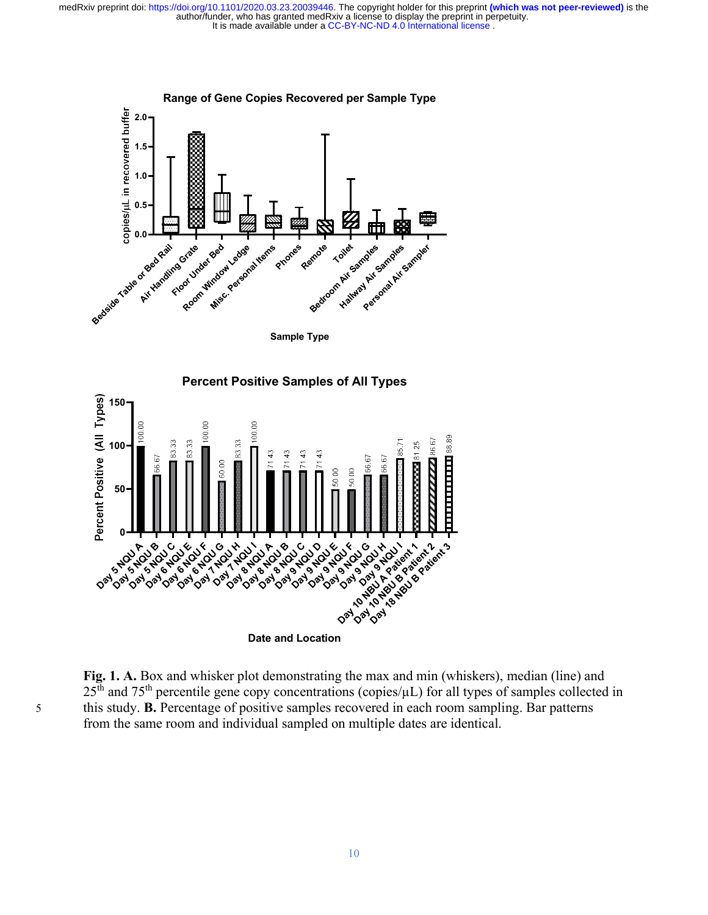

Date and Location

᠐**<del>╶┖ႃ▀╸▜▘▝▛╶┞┦╴▜▘▝▛╶▐<sup>╗</sup>╶┞┦╴╀╝╶╄╝╶┞┦╴</del>┽**╌

Fig. 1. A. Box and whisker plot demonstrating the max and min (whiskers), median (line) and  $25<sup>th</sup>$  and  $75<sup>th</sup>$  percentile gene copy concentrations (copies/ $\mu$ L) for all types of samples collected in 5 this study. B. Percentage of positive samples recovered in each room sampling. Bar patterns from the same room and individual sampled on multiple dates are identical.

Lay to you as you as you to you to you as you as you as you to you to you to you.<br>Oak of a band of a band to day of a band and a band a band of a band a band a band a band a band a band a band<br>Oak of oak of oak of oak of o

Day of State Assembly

Upder to you to you to you to you to you to you to you to you to you to you to you to you to you to you to you<br>and an any a patient and you want to you to you to you to you to you to you to you to you to you to you to you<br>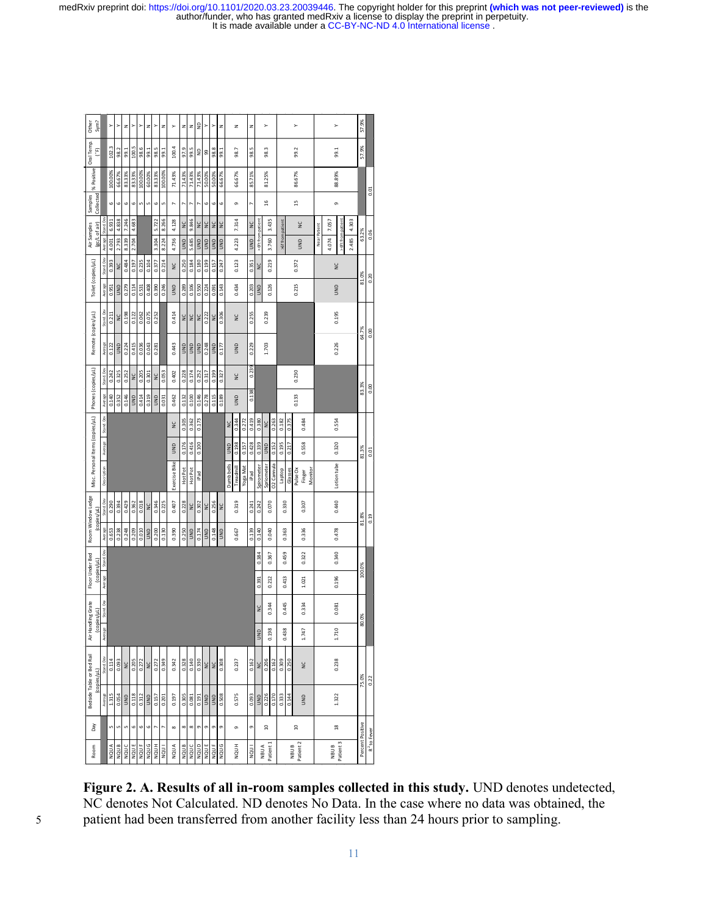1. $\frac{1}{2}$  and  $\frac{1}{2}$  and  $\frac{1}{2}$  and  $\frac{1}{2}$  and  $\frac{1}{2}$  and  $\frac{1}{2}$  and  $\frac{1}{2}$  and  $\frac{1}{2}$  and  $\frac{1}{2}$  and  $\frac{1}{2}$  and  $\frac{1}{2}$  and  $\frac{1}{2}$  and  $\frac{1}{2}$  and  $\frac{1}{2}$  and  $\frac{1}{2}$  and  $\frac{1}{2}$  $\overline{y}$ 1/2220.0.323.0033446. The opyright holder of this preprint (which was not peer-reviewed) is the<br>
who has granted medRxiv a license to display the preprint in perpetutiv.<br>
And the available under a CC-BY-NC-ND 4.0 Internat 0.198 0.344 0.212 0.344 0.212 0.344 0.214 0.214 0.214 0.214 0.214 0.214 0.214 0.214 0.214 0.214 0.214 0.214 0.214 0.214 0.214 0.214 0.214 0.214 0.214 0.214 0.214 0.214 0.214 0.214 0.214 0.214 0.214 0.214 0.214 0.214 0.214 Contained a strong strained and the strained and the strained and the strained and the strained and the strained and the strained and the strained and the strained and the strained and the strained and the strained and th

Figure 2. A. Results of all in-room samples collected in this study. UND denotes undetected, NC denotes Not Calculated. ND denotes No Data. In the case where no data was obtained, the

It is made available under a CC-BY-NC-ND 4.0 International license . author/funder, who has granted medRxiv a license to display the preprint in perpetuity. medRxiv preprint doi: https://doi.org/10.1101/2020.03.23.20039446. The copyright holder for this preprint **(which was not peer-reviewed)** is the